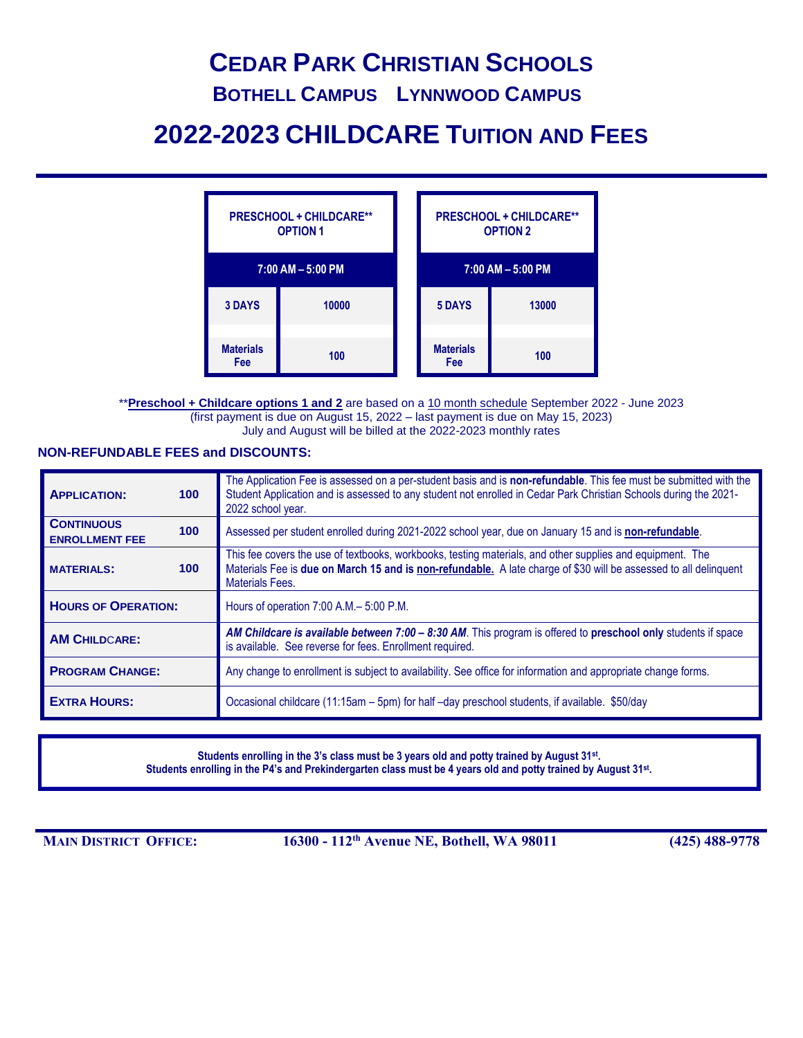# **CEDAR PARK CHRISTIAN SCHOOLS**

### **BOTHELL CAMPUS LYNNWOOD CAMPUS**

# **2022-2023 CHILDCARE TUITION AND FEES**

| <b>PRESCHOOL + CHILDCARE**</b><br><b>OPTION 1</b> |       |  | <b>PRESCHOOL + CHILDCARE**</b><br><b>OPTION 2</b> |       |
|---------------------------------------------------|-------|--|---------------------------------------------------|-------|
| $7:00$ AM $- 5:00$ PM                             |       |  | $7:00$ AM $- 5:00$ PM                             |       |
| <b>3 DAYS</b>                                     | 10000 |  | <b>5 DAYS</b>                                     | 13000 |
| <b>Materials</b><br>Fee                           | 100   |  | <b>Materials</b><br>Fee                           | 100   |

\*\***Preschool + Childcare options 1 and 2** are based on a 10 month schedule September 2022 - June 2023 (first payment is due on August 15, 2022 – last payment is due on May 15, 2023) July and August will be billed at the 2022-2023 monthly rates

#### **NON-REFUNDABLE FEES and DISCOUNTS:**

| <b>APPLICATION:</b>                        | 100 <sub>1</sub> | The Application Fee is assessed on a per-student basis and is non-refundable. This fee must be submitted with the<br>Student Application and is assessed to any student not enrolled in Cedar Park Christian Schools during the 2021-<br>2022 school year. |  |  |
|--------------------------------------------|------------------|------------------------------------------------------------------------------------------------------------------------------------------------------------------------------------------------------------------------------------------------------------|--|--|
| <b>CONTINUOUS</b><br><b>ENROLLMENT FEE</b> | 100 <sub>1</sub> | Assessed per student enrolled during 2021-2022 school year, due on January 15 and is non-refundable.                                                                                                                                                       |  |  |
| <b>MATERIALS:</b>                          | 100 <sub>1</sub> | This fee covers the use of textbooks, workbooks, testing materials, and other supplies and equipment. The<br>Materials Fee is due on March 15 and is non-refundable. A late charge of \$30 will be assessed to all delinquent<br><b>Materials Fees.</b>    |  |  |
| <b>HOURS OF OPERATION:</b>                 |                  | Hours of operation 7:00 A.M. - 5:00 P.M.                                                                                                                                                                                                                   |  |  |
| <b>AM CHILDCARE:</b>                       |                  | AM Childcare is available between $7:00 - 8:30$ AM. This program is offered to preschool only students if space<br>is available. See reverse for fees. Enrollment required.                                                                                |  |  |
| <b>PROGRAM CHANGE:</b>                     |                  | Any change to enrollment is subject to availability. See office for information and appropriate change forms.                                                                                                                                              |  |  |
| <b>EXTRA HOURS:</b>                        |                  | Occasional childcare (11:15am – 5pm) for half –day preschool students, if available. \$50/day                                                                                                                                                              |  |  |

**Students enrolling in the 3's class must be 3 years old and potty trained by August 31st . Students enrolling in the P4's and Prekindergarten class must be 4 years old and potty trained by August 31st .**

**MAIN DISTRICT OFFICE: 16300 - 112th Avenue NE, Bothell, WA 98011 (425) 488-9778**